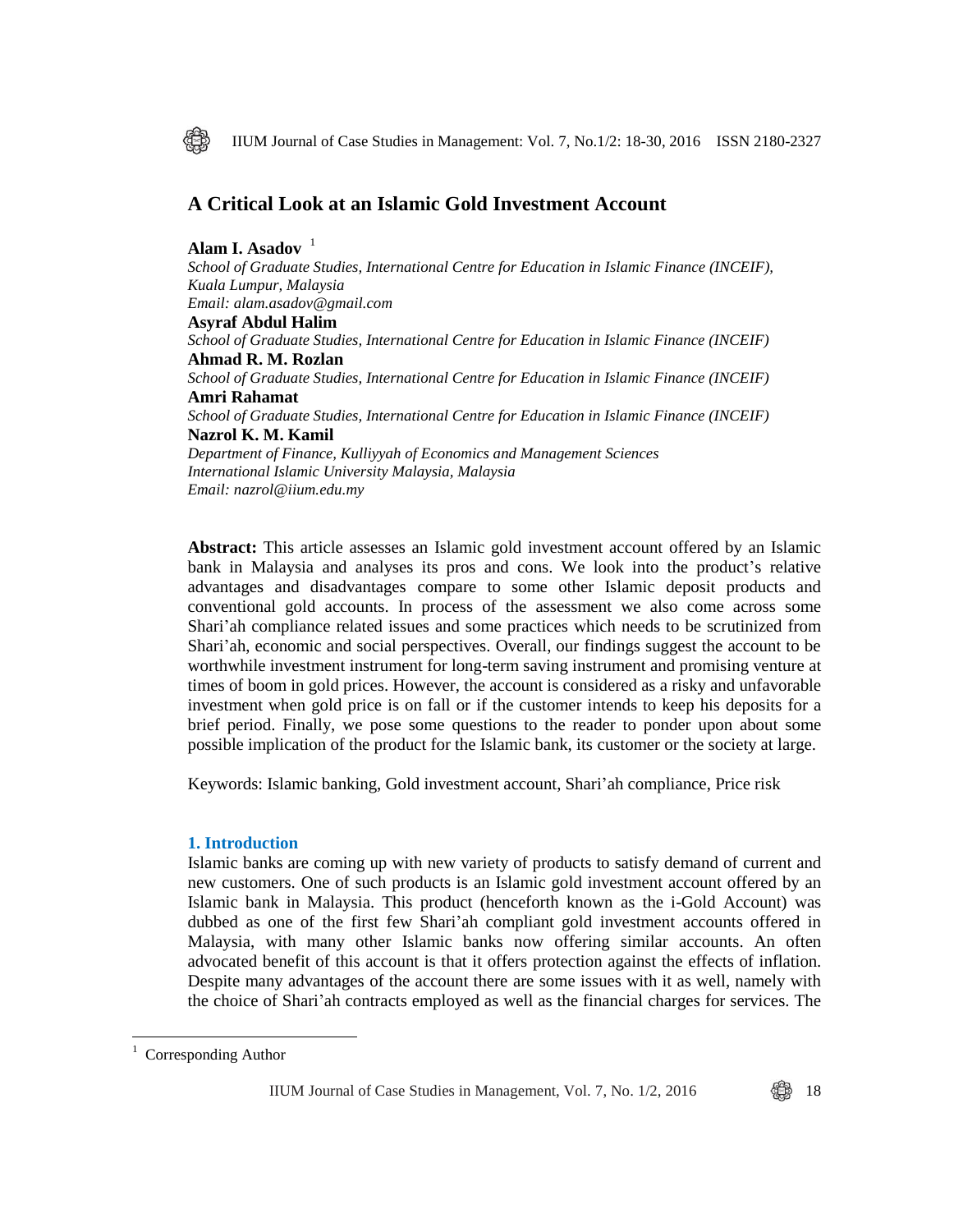

IIUM Journal of Case Studies in Management: Vol. 7, No.1/2: 18-30, 2016 ISSN 2180-2327

# **A Critical Look at an Islamic Gold Investment Account**

**Alam I. Asadov** <sup>1</sup> *School of Graduate Studies, International Centre for Education in Islamic Finance (INCEIF), Kuala Lumpur, Malaysia Email: alam.asadov@gmail.com* **Asyraf Abdul Halim** *School of Graduate Studies, International Centre for Education in Islamic Finance (INCEIF)* **Ahmad R. M. Rozlan** *School of Graduate Studies, International Centre for Education in Islamic Finance (INCEIF)* **Amri Rahamat** *School of Graduate Studies, International Centre for Education in Islamic Finance (INCEIF)* **Nazrol K. M. Kamil** *Department of Finance, Kulliyyah of Economics and Management Sciences International Islamic University Malaysia, Malaysia Email: nazrol@iium.edu.my*

**Abstract:** This article assesses an Islamic gold investment account offered by an Islamic bank in Malaysia and analyses its pros and cons. We look into the product's relative advantages and disadvantages compare to some other Islamic deposit products and conventional gold accounts. In process of the assessment we also come across some Shari'ah compliance related issues and some practices which needs to be scrutinized from Shari'ah, economic and social perspectives. Overall, our findings suggest the account to be worthwhile investment instrument for long-term saving instrument and promising venture at times of boom in gold prices. However, the account is considered as a risky and unfavorable investment when gold price is on fall or if the customer intends to keep his deposits for a brief period. Finally, we pose some questions to the reader to ponder upon about some possible implication of the product for the Islamic bank, its customer or the society at large.

Keywords: Islamic banking, Gold investment account, Shari'ah compliance, Price risk

### **1. Introduction**

Islamic banks are coming up with new variety of products to satisfy demand of current and new customers. One of such products is an Islamic gold investment account offered by an Islamic bank in Malaysia. This product (henceforth known as the i-Gold Account) was dubbed as one of the first few Shari'ah compliant gold investment accounts offered in Malaysia, with many other Islamic banks now offering similar accounts. An often advocated benefit of this account is that it offers protection against the effects of inflation. Despite many advantages of the account there are some issues with it as well, namely with the choice of Shari'ah contracts employed as well as the financial charges for services. The

 $\overline{a}$ 

Corresponding Author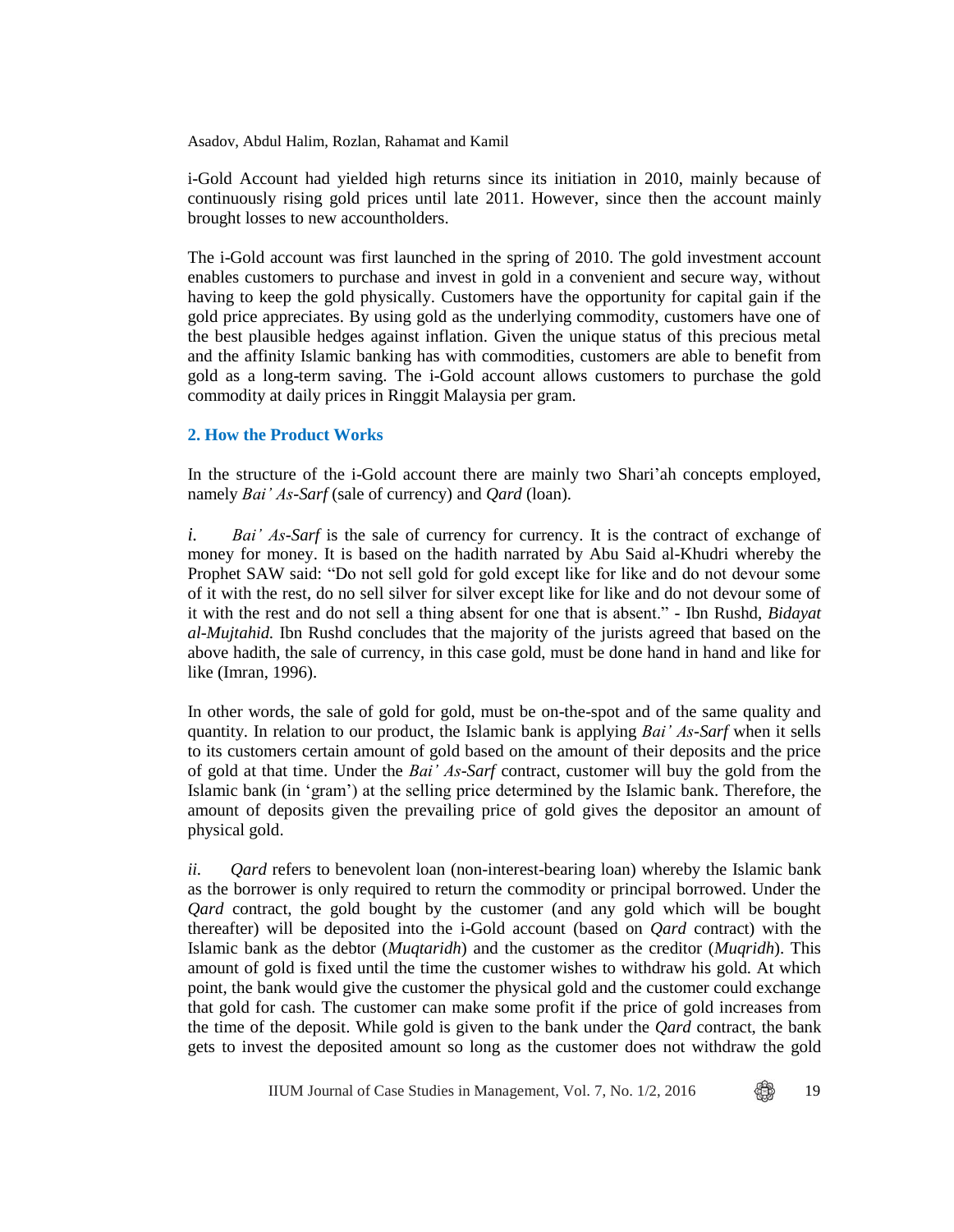i-Gold Account had yielded high returns since its initiation in 2010, mainly because of continuously rising gold prices until late 2011. However, since then the account mainly brought losses to new accountholders.

The i-Gold account was first launched in the spring of 2010. The gold investment account enables customers to purchase and invest in gold in a convenient and secure way, without having to keep the gold physically. Customers have the opportunity for capital gain if the gold price appreciates. By using gold as the underlying commodity, customers have one of the best plausible hedges against inflation. Given the unique status of this precious metal and the affinity Islamic banking has with commodities, customers are able to benefit from gold as a long-term saving. The i-Gold account allows customers to purchase the gold commodity at daily prices in Ringgit Malaysia per gram.

# **2. How the Product Works**

In the structure of the i-Gold account there are mainly two Shari'ah concepts employed, namely *Bai' As-Sarf* (sale of currency) and *Qard* (loan).

*i. Bai' As-Sarf* is the sale of currency for currency. It is the contract of exchange of money for money. It is based on the hadith narrated by Abu Said al-Khudri whereby the Prophet SAW said: "Do not sell gold for gold except like for like and do not devour some of it with the rest, do no sell silver for silver except like for like and do not devour some of it with the rest and do not sell a thing absent for one that is absent." - Ibn Rushd, *Bidayat al-Mujtahid.* Ibn Rushd concludes that the majority of the jurists agreed that based on the above hadith, the sale of currency, in this case gold, must be done hand in hand and like for like (Imran, 1996).

In other words, the sale of gold for gold, must be on-the-spot and of the same quality and quantity. In relation to our product, the Islamic bank is applying *Bai' As-Sarf* when it sells to its customers certain amount of gold based on the amount of their deposits and the price of gold at that time. Under the *Bai' As-Sarf* contract, customer will buy the gold from the Islamic bank (in 'gram') at the selling price determined by the Islamic bank. Therefore, the amount of deposits given the prevailing price of gold gives the depositor an amount of physical gold.

*ii. Qard* refers to benevolent loan (non-interest-bearing loan) whereby the Islamic bank as the borrower is only required to return the commodity or principal borrowed. Under the *Qard* contract, the gold bought by the customer (and any gold which will be bought thereafter) will be deposited into the i-Gold account (based on *Qard* contract) with the Islamic bank as the debtor (*Muqtaridh*) and the customer as the creditor (*Muqridh*). This amount of gold is fixed until the time the customer wishes to withdraw his gold. At which point, the bank would give the customer the physical gold and the customer could exchange that gold for cash. The customer can make some profit if the price of gold increases from the time of the deposit. While gold is given to the bank under the *Qard* contract, the bank gets to invest the deposited amount so long as the customer does not withdraw the gold

IIUM Journal of Case Studies in Management, Vol. 7, No.  $1/2$ , 2016  $\bigoplus_{\alpha=1}^{\infty}$  19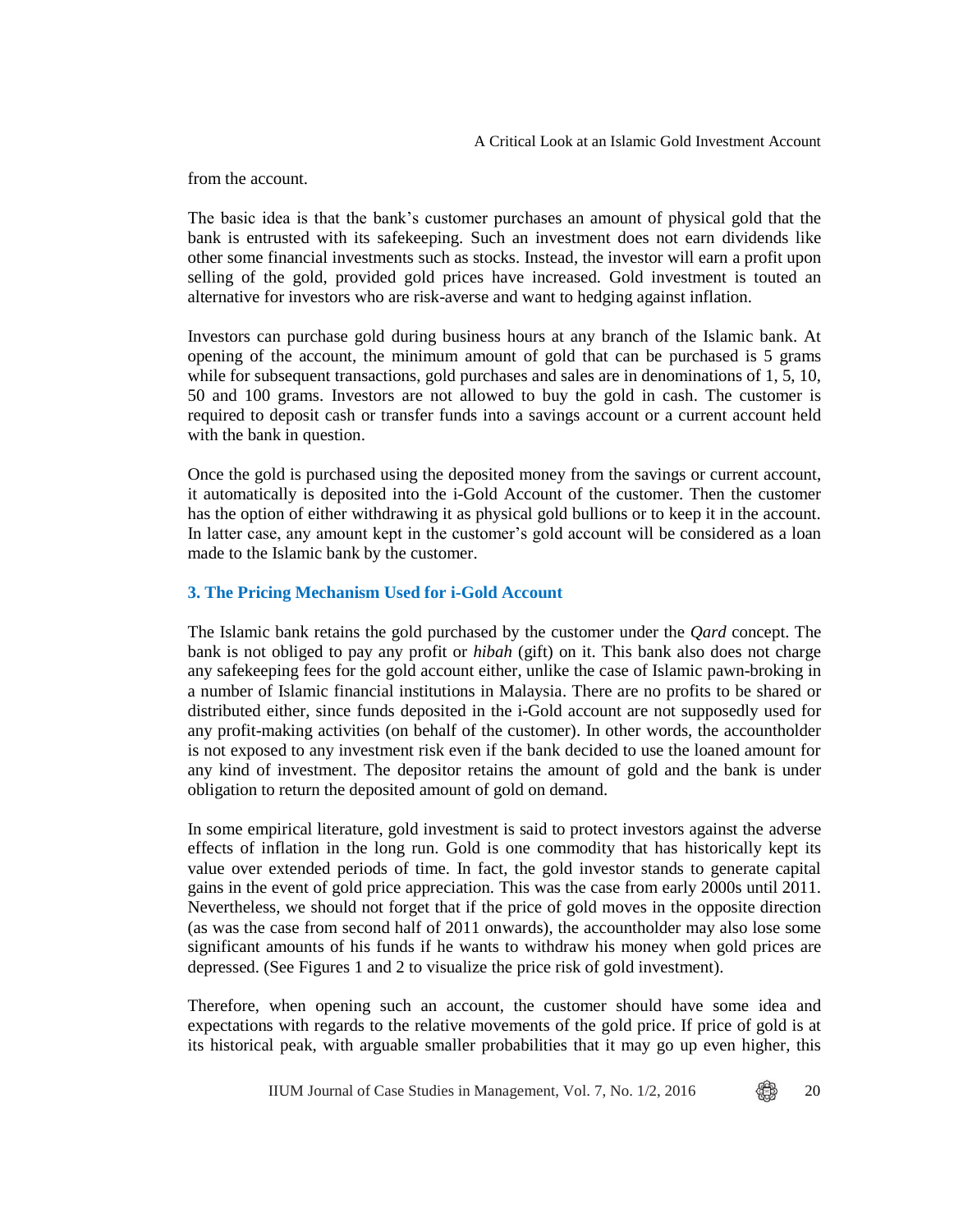from the account.

The basic idea is that the bank's customer purchases an amount of physical gold that the bank is entrusted with its safekeeping. Such an investment does not earn dividends like other some financial investments such as stocks. Instead, the investor will earn a profit upon selling of the gold, provided gold prices have increased. Gold investment is touted an alternative for investors who are risk-averse and want to hedging against inflation.

Investors can purchase gold during business hours at any branch of the Islamic bank. At opening of the account, the minimum amount of gold that can be purchased is 5 grams while for subsequent transactions, gold purchases and sales are in denominations of 1, 5, 10, 50 and 100 grams. Investors are not allowed to buy the gold in cash. The customer is required to deposit cash or transfer funds into a savings account or a current account held with the bank in question.

Once the gold is purchased using the deposited money from the savings or current account, it automatically is deposited into the i-Gold Account of the customer. Then the customer has the option of either withdrawing it as physical gold bullions or to keep it in the account. In latter case, any amount kept in the customer's gold account will be considered as a loan made to the Islamic bank by the customer.

# **3. The Pricing Mechanism Used for i-Gold Account**

The Islamic bank retains the gold purchased by the customer under the *Qard* concept. The bank is not obliged to pay any profit or *hibah* (gift) on it. This bank also does not charge any safekeeping fees for the gold account either, unlike the case of Islamic pawn-broking in a number of Islamic financial institutions in Malaysia. There are no profits to be shared or distributed either, since funds deposited in the i-Gold account are not supposedly used for any profit-making activities (on behalf of the customer). In other words, the accountholder is not exposed to any investment risk even if the bank decided to use the loaned amount for any kind of investment. The depositor retains the amount of gold and the bank is under obligation to return the deposited amount of gold on demand.

In some empirical literature, gold investment is said to protect investors against the adverse effects of inflation in the long run. Gold is one commodity that has historically kept its value over extended periods of time. In fact, the gold investor stands to generate capital gains in the event of gold price appreciation. This was the case from early 2000s until 2011. Nevertheless, we should not forget that if the price of gold moves in the opposite direction (as was the case from second half of 2011 onwards), the accountholder may also lose some significant amounts of his funds if he wants to withdraw his money when gold prices are depressed. (See Figures 1 and 2 to visualize the price risk of gold investment).

Therefore, when opening such an account, the customer should have some idea and expectations with regards to the relative movements of the gold price. If price of gold is at its historical peak, with arguable smaller probabilities that it may go up even higher, this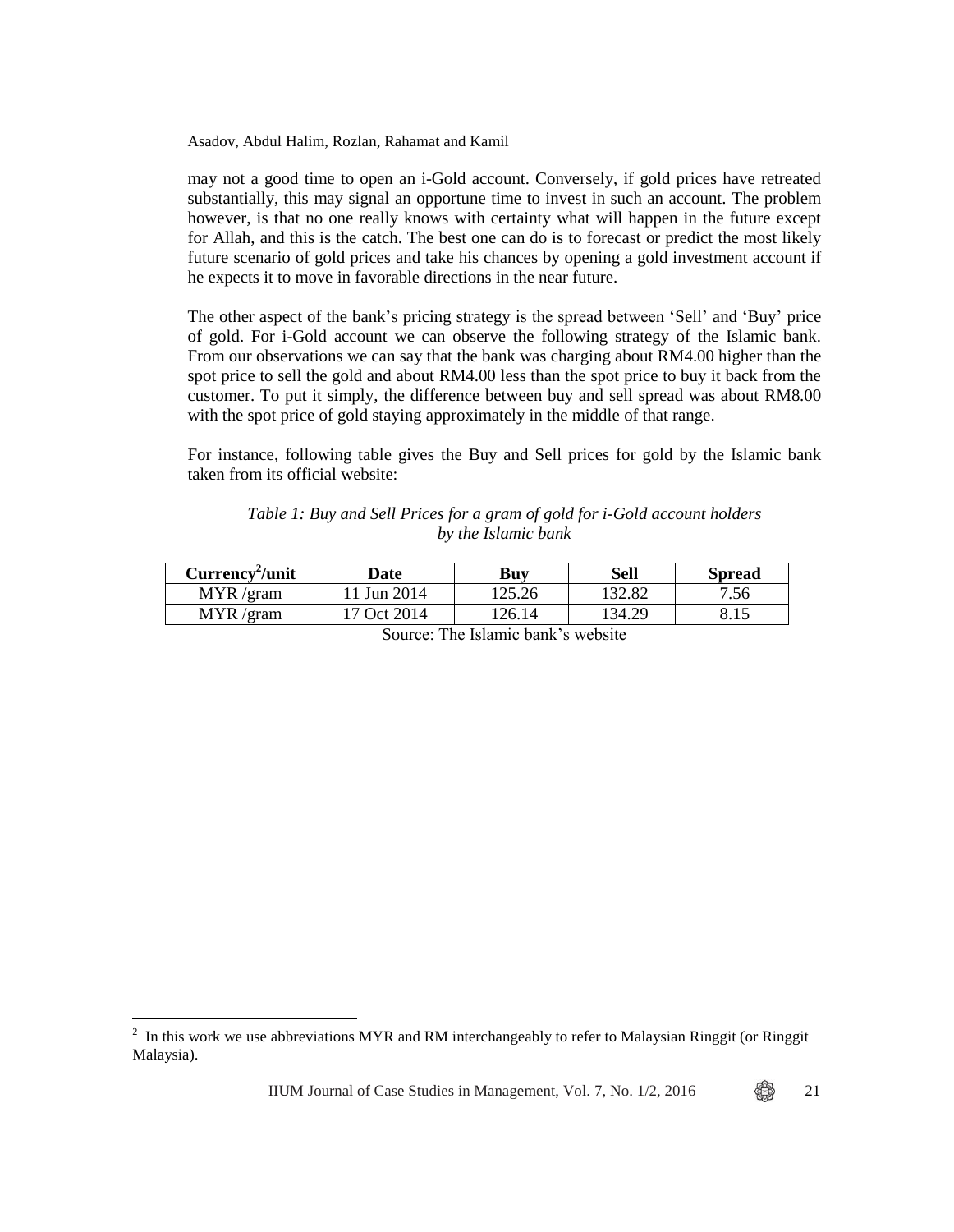may not a good time to open an i-Gold account. Conversely, if gold prices have retreated substantially, this may signal an opportune time to invest in such an account. The problem however, is that no one really knows with certainty what will happen in the future except for Allah, and this is the catch. The best one can do is to forecast or predict the most likely future scenario of gold prices and take his chances by opening a gold investment account if he expects it to move in favorable directions in the near future.

The other aspect of the bank's pricing strategy is the spread between 'Sell' and 'Buy' price of gold. For i-Gold account we can observe the following strategy of the Islamic bank. From our observations we can say that the bank was charging about RM4.00 higher than the spot price to sell the gold and about RM4.00 less than the spot price to buy it back from the customer. To put it simply, the difference between buy and sell spread was about RM8.00 with the spot price of gold staying approximately in the middle of that range.

For instance, following table gives the Buy and Sell prices for gold by the Islamic bank taken from its official website:

# *Table 1: Buy and Sell Prices for a gram of gold for i-Gold account holders by the Islamic bank*

| Currency <sup>2</sup> /unit | )ate                    | Buv    | Sell    | Spread |
|-----------------------------|-------------------------|--------|---------|--------|
| <b>MYR</b><br>$/$ gram      | <sup>1</sup> Jun 2014   | 125.26 | ' 32.82 | 7.56   |
| MYR<br>′gram                | <sup>1</sup> 7 Oct 2014 | 26.14  | ' 34.29 | 0.19   |

Source: The Islamic bank's website

 $\overline{a}$ 

IIUM Journal of Case Studies in Management, Vol. 7, No.  $1/2$ , 2016  $\bigoplus_{\alpha=1}^{\infty}$  21

<sup>2</sup> In this work we use abbreviations MYR and RM interchangeably to refer to Malaysian Ringgit (or Ringgit Malaysia).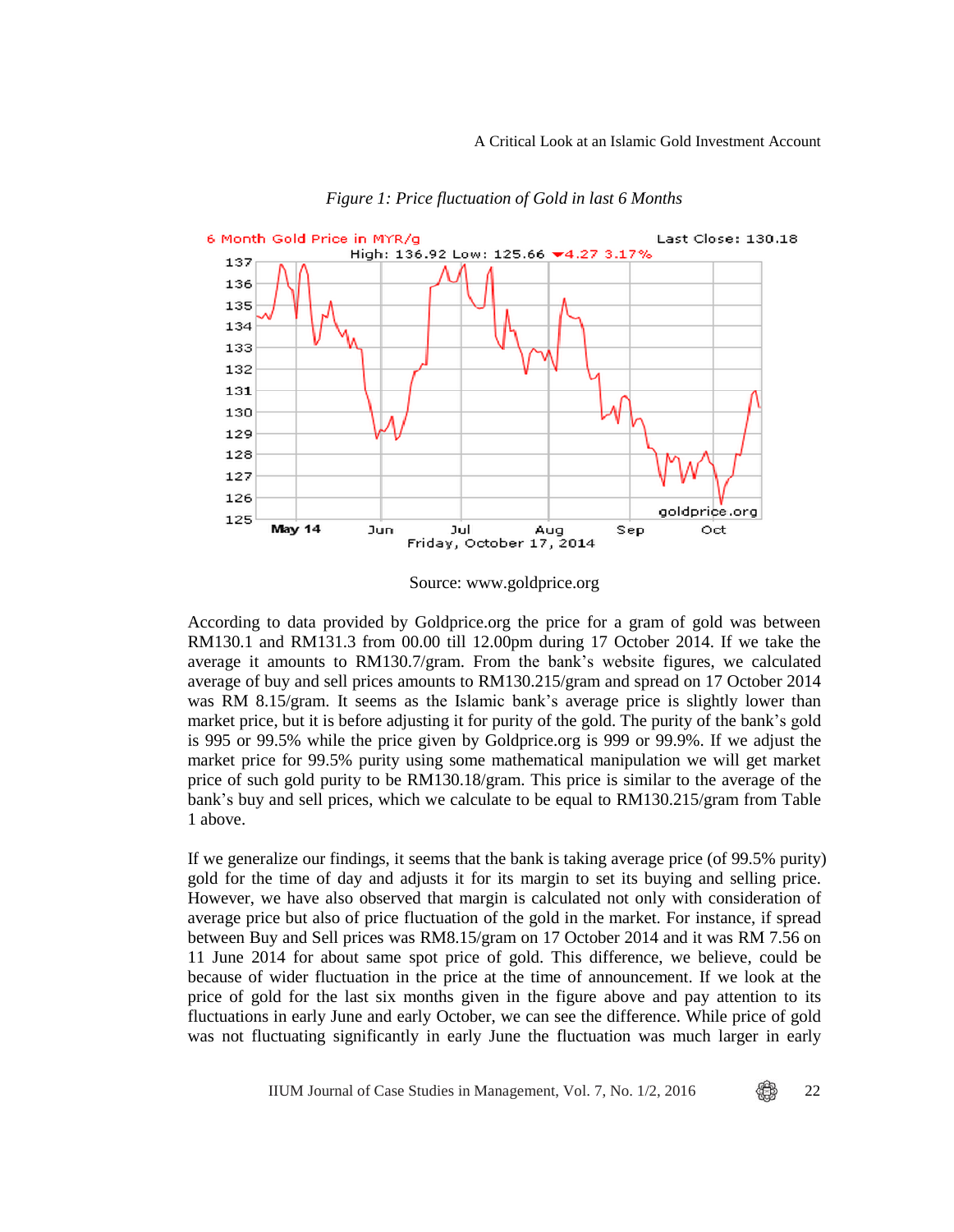#### A Critical Look at an Islamic Gold Investment Account



*Figure 1: Price fluctuation of Gold in last 6 Months*

Source: www.goldprice.org

According to data provided by Goldprice.org the price for a gram of gold was between RM130.1 and RM131.3 from 00.00 till 12.00pm during 17 October 2014. If we take the average it amounts to RM130.7/gram. From the bank's website figures, we calculated average of buy and sell prices amounts to RM130.215/gram and spread on 17 October 2014 was RM 8.15/gram. It seems as the Islamic bank's average price is slightly lower than market price, but it is before adjusting it for purity of the gold. The purity of the bank's gold is 995 or 99.5% while the price given by Goldprice.org is 999 or 99.9%. If we adjust the market price for 99.5% purity using some mathematical manipulation we will get market price of such gold purity to be RM130.18/gram. This price is similar to the average of the bank's buy and sell prices, which we calculate to be equal to RM130.215/gram from Table 1 above.

If we generalize our findings, it seems that the bank is taking average price (of 99.5% purity) gold for the time of day and adjusts it for its margin to set its buying and selling price. However, we have also observed that margin is calculated not only with consideration of average price but also of price fluctuation of the gold in the market. For instance, if spread between Buy and Sell prices was RM8.15/gram on 17 October 2014 and it was RM 7.56 on 11 June 2014 for about same spot price of gold. This difference, we believe, could be because of wider fluctuation in the price at the time of announcement. If we look at the price of gold for the last six months given in the figure above and pay attention to its fluctuations in early June and early October, we can see the difference. While price of gold was not fluctuating significantly in early June the fluctuation was much larger in early

IIUM Journal of Case Studies in Management, Vol. 7, No.  $1/2$ , 2016  $\bigoplus_{\infty}$  22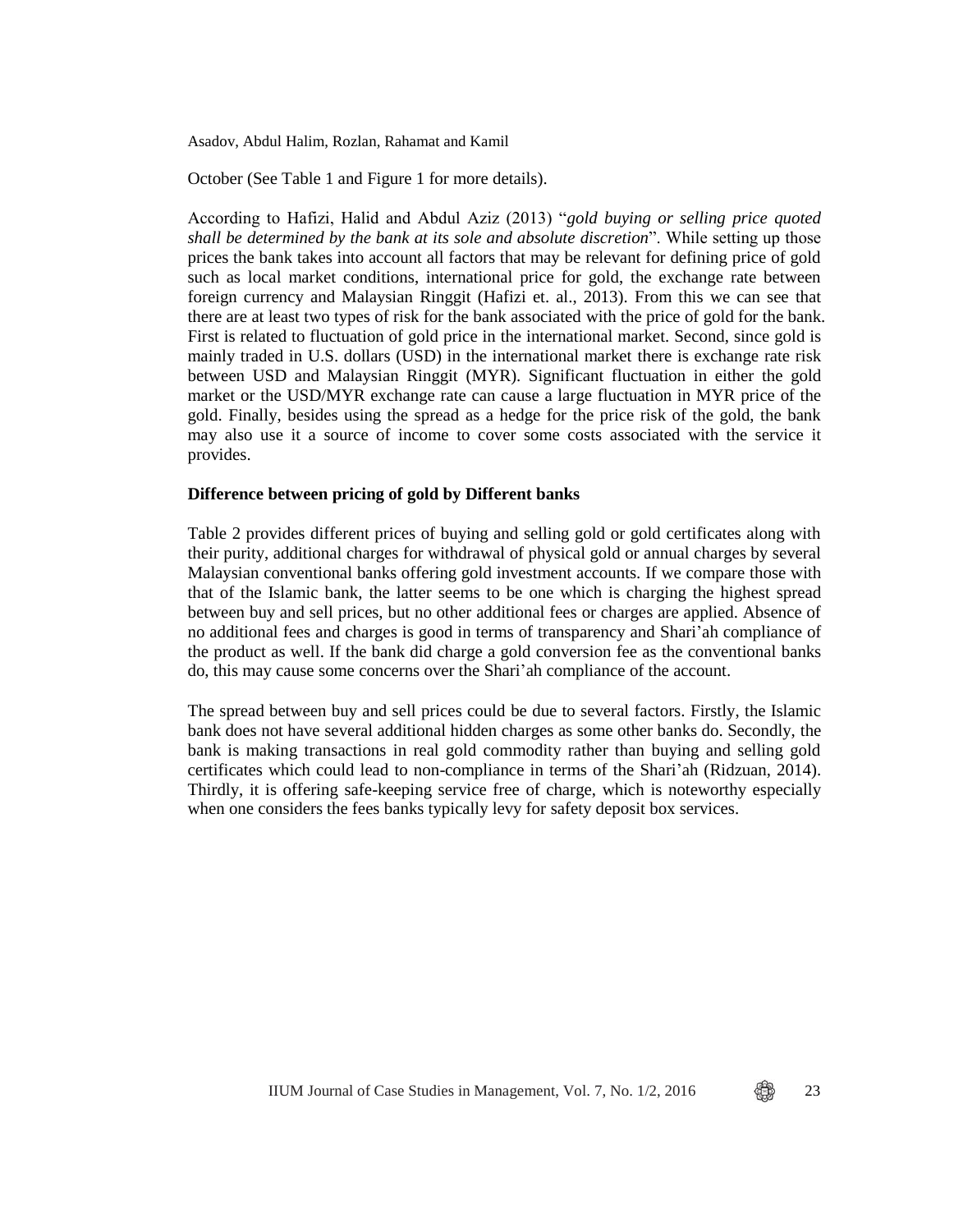October (See Table 1 and Figure 1 for more details).

According to Hafizi, Halid and Abdul Aziz (2013) "*gold buying or selling price quoted shall be determined by the bank at its sole and absolute discretion*". While setting up those prices the bank takes into account all factors that may be relevant for defining price of gold such as local market conditions, international price for gold, the exchange rate between foreign currency and Malaysian Ringgit (Hafizi et. al., 2013). From this we can see that there are at least two types of risk for the bank associated with the price of gold for the bank. First is related to fluctuation of gold price in the international market. Second, since gold is mainly traded in U.S. dollars (USD) in the international market there is exchange rate risk between USD and Malaysian Ringgit (MYR). Significant fluctuation in either the gold market or the USD/MYR exchange rate can cause a large fluctuation in MYR price of the gold. Finally, besides using the spread as a hedge for the price risk of the gold, the bank may also use it a source of income to cover some costs associated with the service it provides.

#### **Difference between pricing of gold by Different banks**

Table 2 provides different prices of buying and selling gold or gold certificates along with their purity, additional charges for withdrawal of physical gold or annual charges by several Malaysian conventional banks offering gold investment accounts. If we compare those with that of the Islamic bank, the latter seems to be one which is charging the highest spread between buy and sell prices, but no other additional fees or charges are applied. Absence of no additional fees and charges is good in terms of transparency and Shari'ah compliance of the product as well. If the bank did charge a gold conversion fee as the conventional banks do, this may cause some concerns over the Shari'ah compliance of the account.

The spread between buy and sell prices could be due to several factors. Firstly, the Islamic bank does not have several additional hidden charges as some other banks do. Secondly, the bank is making transactions in real gold commodity rather than buying and selling gold certificates which could lead to non-compliance in terms of the Shari'ah (Ridzuan, 2014). Thirdly, it is offering safe-keeping service free of charge, which is noteworthy especially when one considers the fees banks typically levy for safety deposit box services.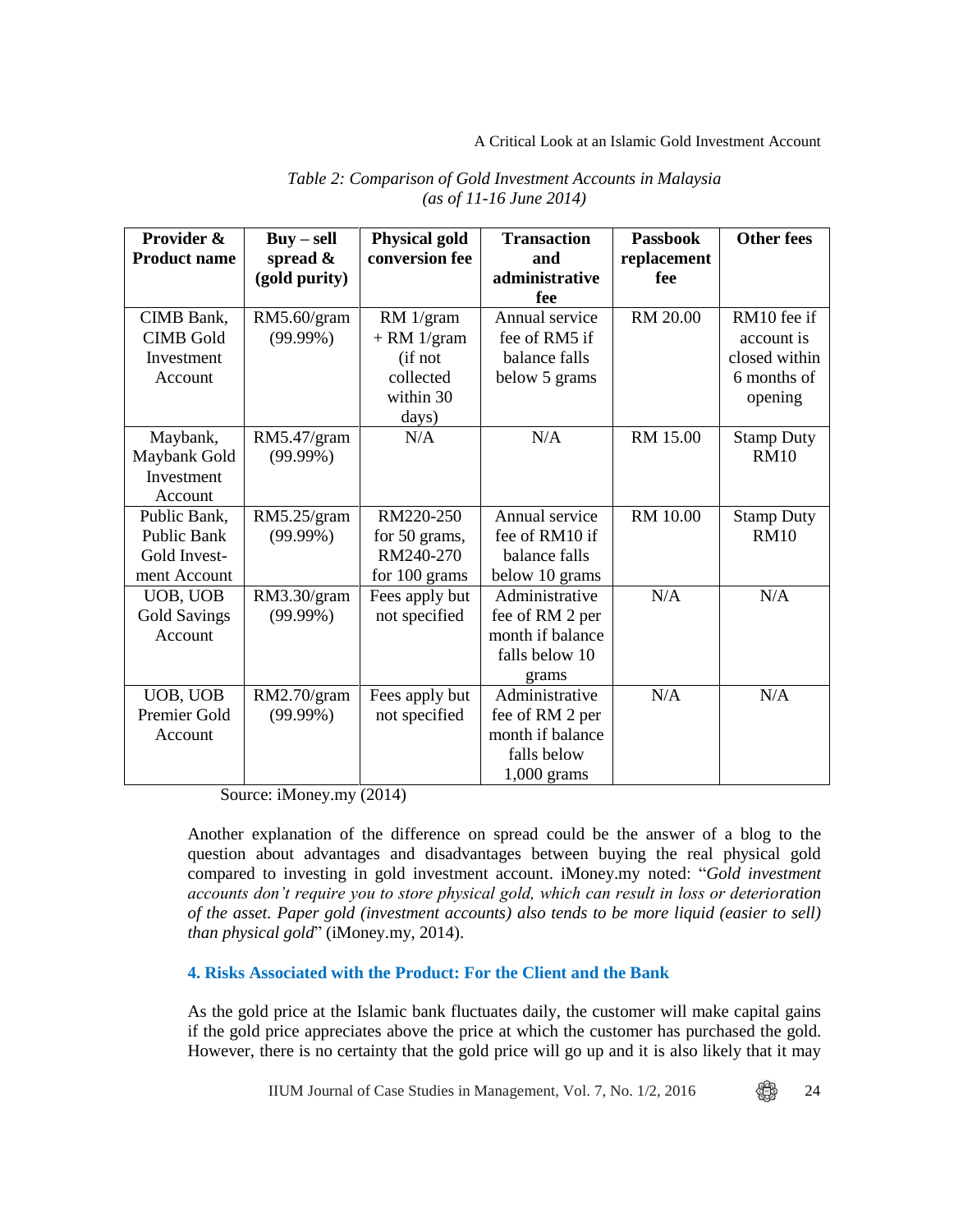A Critical Look at an Islamic Gold Investment Account

| Provider &          | $Buy-sell$    | <b>Physical gold</b> | <b>Transaction</b> | <b>Passbook</b> | <b>Other fees</b> |
|---------------------|---------------|----------------------|--------------------|-----------------|-------------------|
| <b>Product name</b> | spread $\&$   | conversion fee       | and                | replacement     |                   |
|                     | (gold purity) |                      | administrative     | fee             |                   |
|                     |               |                      | fee                |                 |                   |
| CIMB Bank,          | RM5.60/gram   | RM 1/gram            | Annual service     | RM 20.00        | RM10 fee if       |
| <b>CIMB</b> Gold    | $(99.99\%)$   | $+ RM$ 1/gram        | fee of RM5 if      |                 | account is        |
| Investment          |               | (if not              | balance falls      |                 | closed within     |
| Account             |               | collected            | below 5 grams      |                 | 6 months of       |
|                     |               | within 30            |                    |                 | opening           |
|                     |               | days)                |                    |                 |                   |
| Maybank,            | RM5.47/gram   | N/A                  | N/A                | RM 15.00        | <b>Stamp Duty</b> |
| Maybank Gold        | $(99.99\%)$   |                      |                    |                 | <b>RM10</b>       |
| Investment          |               |                      |                    |                 |                   |
| Account             |               |                      |                    |                 |                   |
| Public Bank,        | RM5.25/gram   | RM220-250            | Annual service     | RM 10.00        | <b>Stamp Duty</b> |
| <b>Public Bank</b>  | $(99.99\%)$   | for 50 grams,        | fee of RM10 if     |                 | <b>RM10</b>       |
| Gold Invest-        |               | RM240-270            | balance falls      |                 |                   |
| ment Account        |               | for 100 grams        | below 10 grams     |                 |                   |
| UOB, UOB            | RM3.30/gram   | Fees apply but       | Administrative     | N/A             | N/A               |
| <b>Gold Savings</b> | $(99.99\%)$   | not specified        | fee of RM 2 per    |                 |                   |
| Account             |               |                      | month if balance   |                 |                   |
|                     |               |                      | falls below 10     |                 |                   |
|                     |               |                      | grams              |                 |                   |
| UOB, UOB            | RM2.70/gram   | Fees apply but       | Administrative     | N/A             | N/A               |
| <b>Premier Gold</b> | $(99.99\%)$   | not specified        | fee of RM 2 per    |                 |                   |
| Account             |               |                      | month if balance   |                 |                   |
|                     |               |                      | falls below        |                 |                   |
|                     |               |                      | $1,000$ grams      |                 |                   |

# *Table 2: Comparison of Gold Investment Accounts in Malaysia (as of 11-16 June 2014)*

Source: iMoney.my (2014)

Another explanation of the difference on spread could be the answer of a blog to the question about advantages and disadvantages between buying the real physical gold compared to investing in gold investment account. iMoney.my noted: "*Gold investment accounts don't require you to store physical gold, which can result in loss or deterioration of the asset. Paper gold (investment accounts) also tends to be more liquid (easier to sell) than physical gold*" (iMoney.my, 2014).

# **4. Risks Associated with the Product: For the Client and the Bank**

As the gold price at the Islamic bank fluctuates daily, the customer will make capital gains if the gold price appreciates above the price at which the customer has purchased the gold. However, there is no certainty that the gold price will go up and it is also likely that it may

IIUM Journal of Case Studies in Management, Vol. 7, No. 1/2, 2016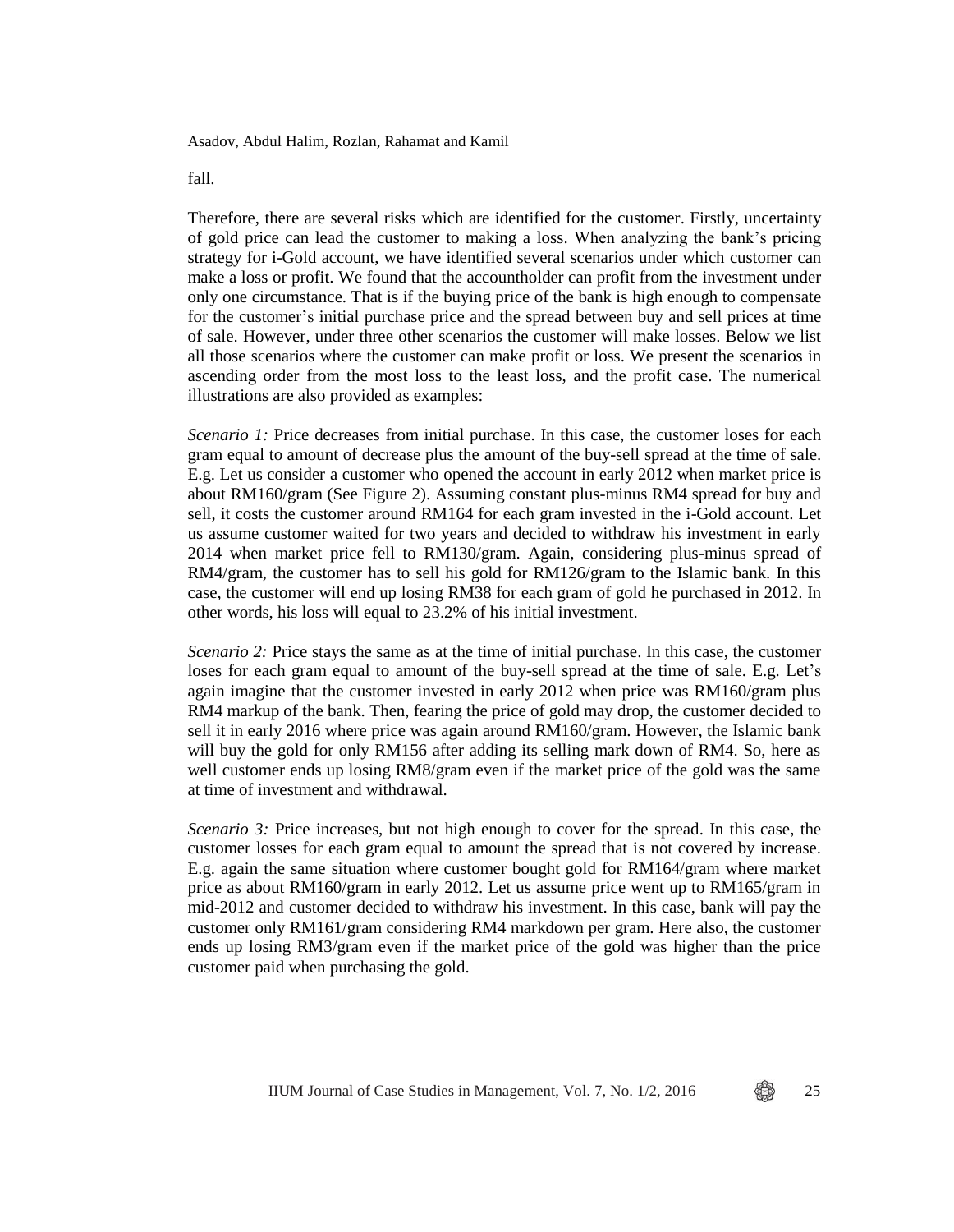fall.

Therefore, there are several risks which are identified for the customer. Firstly, uncertainty of gold price can lead the customer to making a loss. When analyzing the bank's pricing strategy for i-Gold account, we have identified several scenarios under which customer can make a loss or profit. We found that the accountholder can profit from the investment under only one circumstance. That is if the buying price of the bank is high enough to compensate for the customer's initial purchase price and the spread between buy and sell prices at time of sale. However, under three other scenarios the customer will make losses. Below we list all those scenarios where the customer can make profit or loss. We present the scenarios in ascending order from the most loss to the least loss, and the profit case. The numerical illustrations are also provided as examples:

*Scenario 1:* Price decreases from initial purchase. In this case, the customer loses for each gram equal to amount of decrease plus the amount of the buy-sell spread at the time of sale. E.g. Let us consider a customer who opened the account in early 2012 when market price is about RM160/gram (See Figure 2). Assuming constant plus-minus RM4 spread for buy and sell, it costs the customer around RM164 for each gram invested in the i-Gold account. Let us assume customer waited for two years and decided to withdraw his investment in early 2014 when market price fell to RM130/gram. Again, considering plus-minus spread of RM4/gram, the customer has to sell his gold for RM126/gram to the Islamic bank. In this case, the customer will end up losing RM38 for each gram of gold he purchased in 2012. In other words, his loss will equal to 23.2% of his initial investment.

*Scenario 2:* Price stays the same as at the time of initial purchase. In this case, the customer loses for each gram equal to amount of the buy-sell spread at the time of sale. E.g. Let's again imagine that the customer invested in early 2012 when price was RM160/gram plus RM4 markup of the bank. Then, fearing the price of gold may drop, the customer decided to sell it in early 2016 where price was again around RM160/gram. However, the Islamic bank will buy the gold for only RM156 after adding its selling mark down of RM4. So, here as well customer ends up losing RM8/gram even if the market price of the gold was the same at time of investment and withdrawal.

*Scenario 3:* Price increases, but not high enough to cover for the spread. In this case, the customer losses for each gram equal to amount the spread that is not covered by increase. E.g. again the same situation where customer bought gold for RM164/gram where market price as about RM160/gram in early 2012. Let us assume price went up to RM165/gram in mid-2012 and customer decided to withdraw his investment. In this case, bank will pay the customer only RM161/gram considering RM4 markdown per gram. Here also, the customer ends up losing RM3/gram even if the market price of the gold was higher than the price customer paid when purchasing the gold.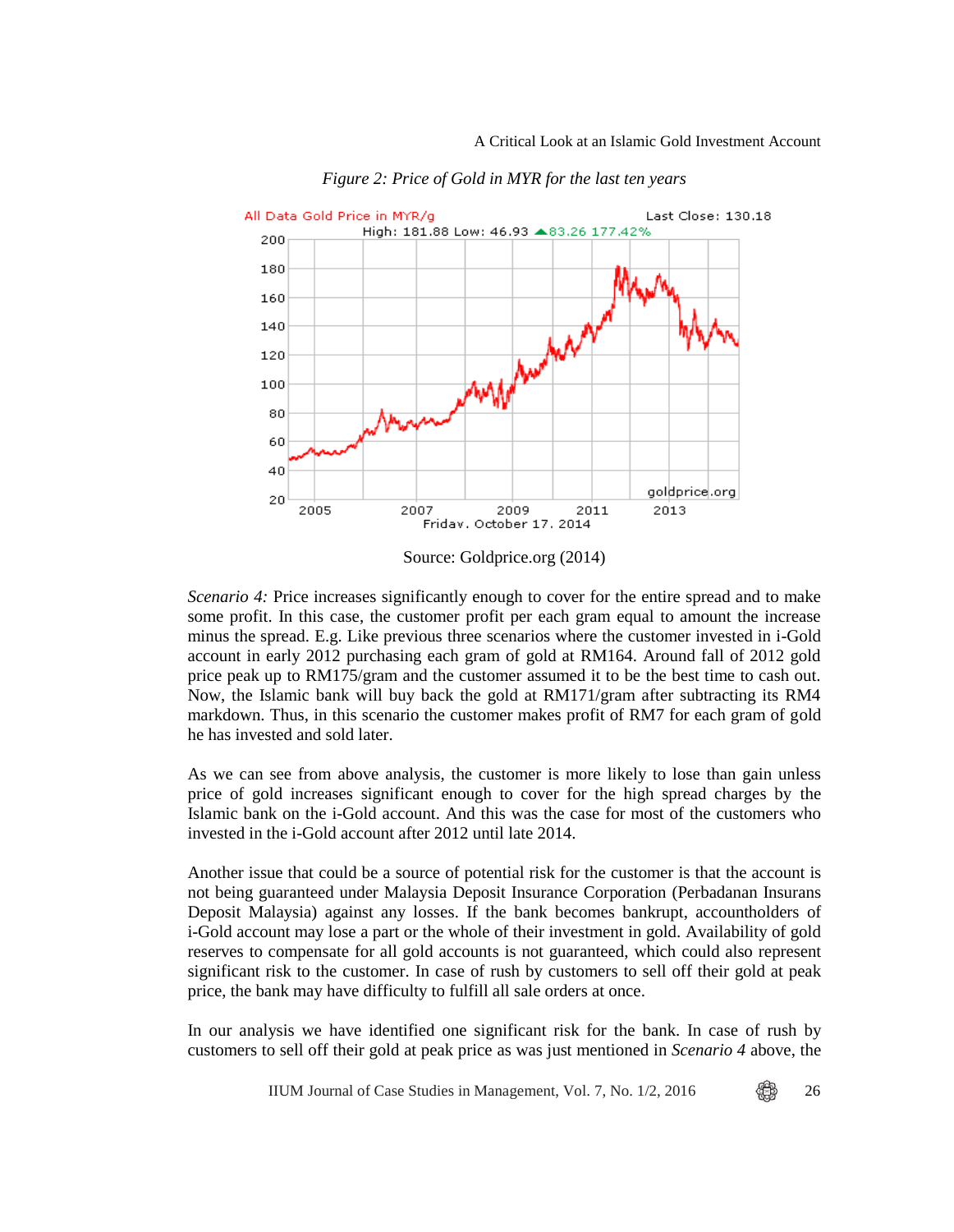

*Figure 2: Price of Gold in MYR for the last ten years*

Source: Goldprice.org (2014)

*Scenario 4:* Price increases significantly enough to cover for the entire spread and to make some profit. In this case, the customer profit per each gram equal to amount the increase minus the spread. E.g. Like previous three scenarios where the customer invested in i-Gold account in early 2012 purchasing each gram of gold at RM164. Around fall of 2012 gold price peak up to RM175/gram and the customer assumed it to be the best time to cash out. Now, the Islamic bank will buy back the gold at RM171/gram after subtracting its RM4 markdown. Thus, in this scenario the customer makes profit of RM7 for each gram of gold he has invested and sold later.

As we can see from above analysis, the customer is more likely to lose than gain unless price of gold increases significant enough to cover for the high spread charges by the Islamic bank on the i-Gold account. And this was the case for most of the customers who invested in the i-Gold account after 2012 until late 2014.

Another issue that could be a source of potential risk for the customer is that the account is not being guaranteed under Malaysia Deposit Insurance Corporation (Perbadanan Insurans Deposit Malaysia) against any losses. If the bank becomes bankrupt, accountholders of i-Gold account may lose a part or the whole of their investment in gold. Availability of gold reserves to compensate for all gold accounts is not guaranteed, which could also represent significant risk to the customer. In case of rush by customers to sell off their gold at peak price, the bank may have difficulty to fulfill all sale orders at once.

In our analysis we have identified one significant risk for the bank. In case of rush by customers to sell off their gold at peak price as was just mentioned in *Scenario 4* above, the

IIUM Journal of Case Studies in Management, Vol. 7, No.  $1/2$ , 2016  $\bigotimes$  26

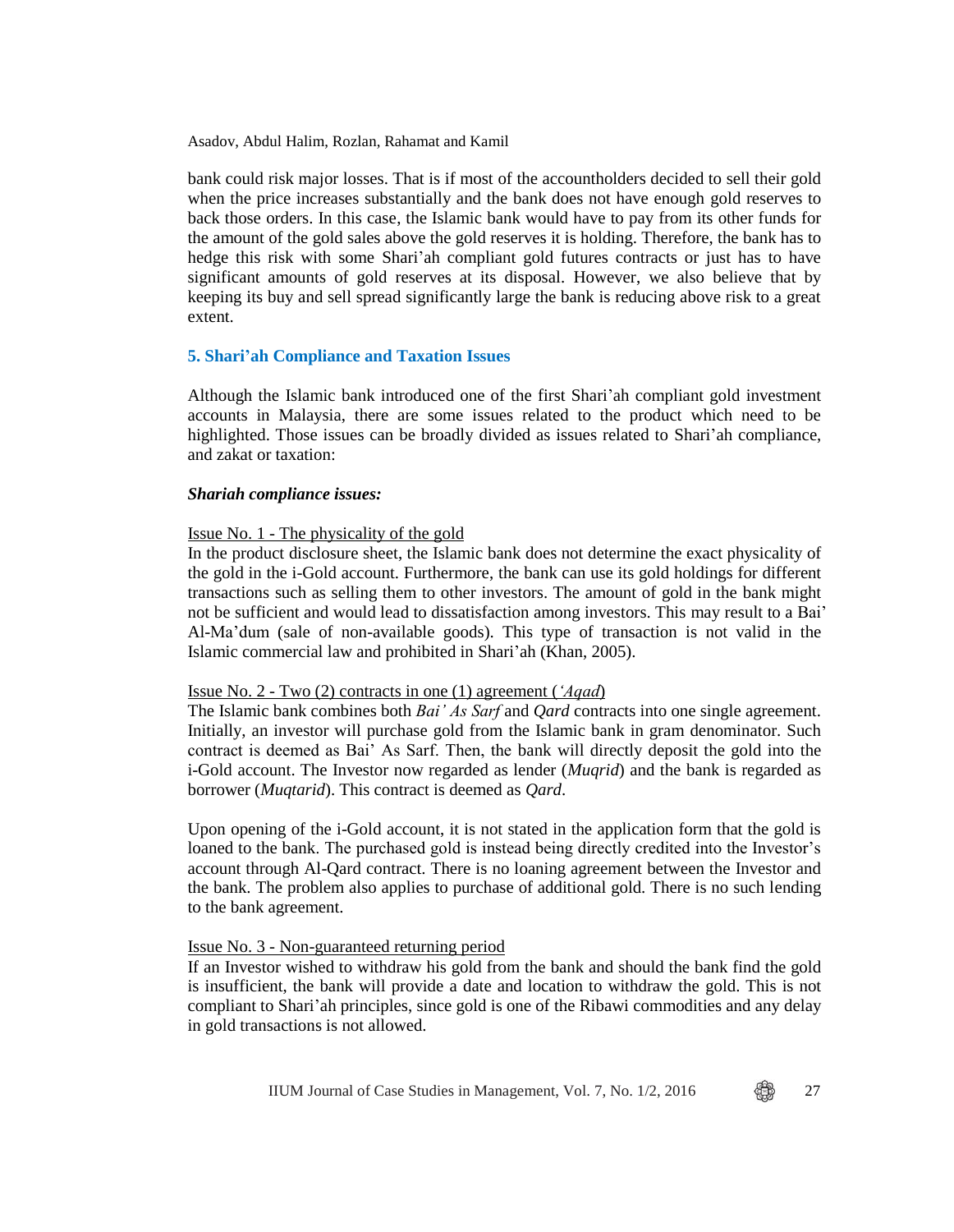bank could risk major losses. That is if most of the accountholders decided to sell their gold when the price increases substantially and the bank does not have enough gold reserves to back those orders. In this case, the Islamic bank would have to pay from its other funds for the amount of the gold sales above the gold reserves it is holding. Therefore, the bank has to hedge this risk with some Shari'ah compliant gold futures contracts or just has to have significant amounts of gold reserves at its disposal. However, we also believe that by keeping its buy and sell spread significantly large the bank is reducing above risk to a great extent.

#### **5. Shari'ah Compliance and Taxation Issues**

Although the Islamic bank introduced one of the first Shari'ah compliant gold investment accounts in Malaysia, there are some issues related to the product which need to be highlighted. Those issues can be broadly divided as issues related to Shari'ah compliance, and zakat or taxation:

#### *Shariah compliance issues:*

#### Issue No. 1 - The physicality of the gold

In the product disclosure sheet, the Islamic bank does not determine the exact physicality of the gold in the i-Gold account. Furthermore, the bank can use its gold holdings for different transactions such as selling them to other investors. The amount of gold in the bank might not be sufficient and would lead to dissatisfaction among investors. This may result to a Bai' Al-Ma'dum (sale of non-available goods). This type of transaction is not valid in the Islamic commercial law and prohibited in Shari'ah (Khan, 2005).

#### Issue No. 2 - Two (2) contracts in one (1) agreement (*'Aqad*)

The Islamic bank combines both *Bai' As Sarf* and *Qard* contracts into one single agreement. Initially, an investor will purchase gold from the Islamic bank in gram denominator. Such contract is deemed as Bai' As Sarf. Then, the bank will directly deposit the gold into the i-Gold account. The Investor now regarded as lender (*Muqrid*) and the bank is regarded as borrower (*Muqtarid*). This contract is deemed as *Qard*.

Upon opening of the i-Gold account, it is not stated in the application form that the gold is loaned to the bank. The purchased gold is instead being directly credited into the Investor's account through Al-Qard contract. There is no loaning agreement between the Investor and the bank. The problem also applies to purchase of additional gold. There is no such lending to the bank agreement.

#### Issue No. 3 - Non-guaranteed returning period

If an Investor wished to withdraw his gold from the bank and should the bank find the gold is insufficient, the bank will provide a date and location to withdraw the gold. This is not compliant to Shari'ah principles, since gold is one of the Ribawi commodities and any delay in gold transactions is not allowed.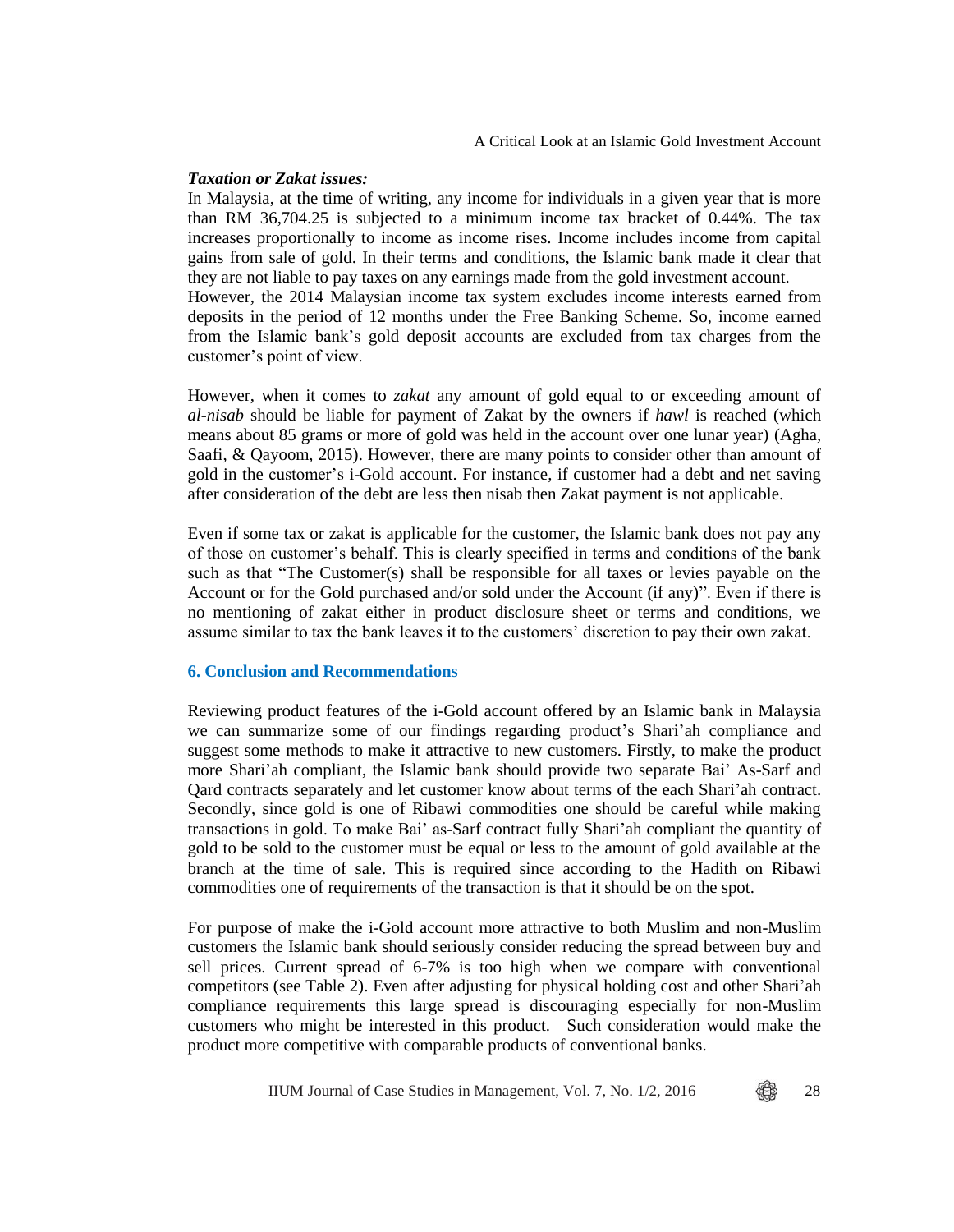### *Taxation or Zakat issues:*

In Malaysia, at the time of writing, any income for individuals in a given year that is more than RM 36,704.25 is subjected to a minimum income tax bracket of 0.44%. The tax increases proportionally to income as income rises. Income includes income from capital gains from sale of gold. In their terms and conditions, the Islamic bank made it clear that they are not liable to pay taxes on any earnings made from the gold investment account. However, the 2014 Malaysian income tax system excludes income interests earned from deposits in the period of 12 months under the Free Banking Scheme. So, income earned from the Islamic bank's gold deposit accounts are excluded from tax charges from the customer's point of view.

However, when it comes to *zakat* any amount of gold equal to or exceeding amount of *al-nisab* should be liable for payment of Zakat by the owners if *hawl* is reached (which means about 85 grams or more of gold was held in the account over one lunar year) (Agha, Saafi, & Qayoom, 2015). However, there are many points to consider other than amount of gold in the customer's i-Gold account. For instance, if customer had a debt and net saving after consideration of the debt are less then nisab then Zakat payment is not applicable.

Even if some tax or zakat is applicable for the customer, the Islamic bank does not pay any of those on customer's behalf. This is clearly specified in terms and conditions of the bank such as that "The Customer(s) shall be responsible for all taxes or levies payable on the Account or for the Gold purchased and/or sold under the Account (if any)". Even if there is no mentioning of zakat either in product disclosure sheet or terms and conditions, we assume similar to tax the bank leaves it to the customers' discretion to pay their own zakat.

#### **6. Conclusion and Recommendations**

Reviewing product features of the i-Gold account offered by an Islamic bank in Malaysia we can summarize some of our findings regarding product's Shari'ah compliance and suggest some methods to make it attractive to new customers. Firstly, to make the product more Shari'ah compliant, the Islamic bank should provide two separate Bai' As-Sarf and Qard contracts separately and let customer know about terms of the each Shari'ah contract. Secondly, since gold is one of Ribawi commodities one should be careful while making transactions in gold. To make Bai' as-Sarf contract fully Shari'ah compliant the quantity of gold to be sold to the customer must be equal or less to the amount of gold available at the branch at the time of sale. This is required since according to the Hadith on Ribawi commodities one of requirements of the transaction is that it should be on the spot.

For purpose of make the i-Gold account more attractive to both Muslim and non-Muslim customers the Islamic bank should seriously consider reducing the spread between buy and sell prices. Current spread of 6-7% is too high when we compare with conventional competitors (see Table 2). Even after adjusting for physical holding cost and other Shari'ah compliance requirements this large spread is discouraging especially for non-Muslim customers who might be interested in this product. Such consideration would make the product more competitive with comparable products of conventional banks.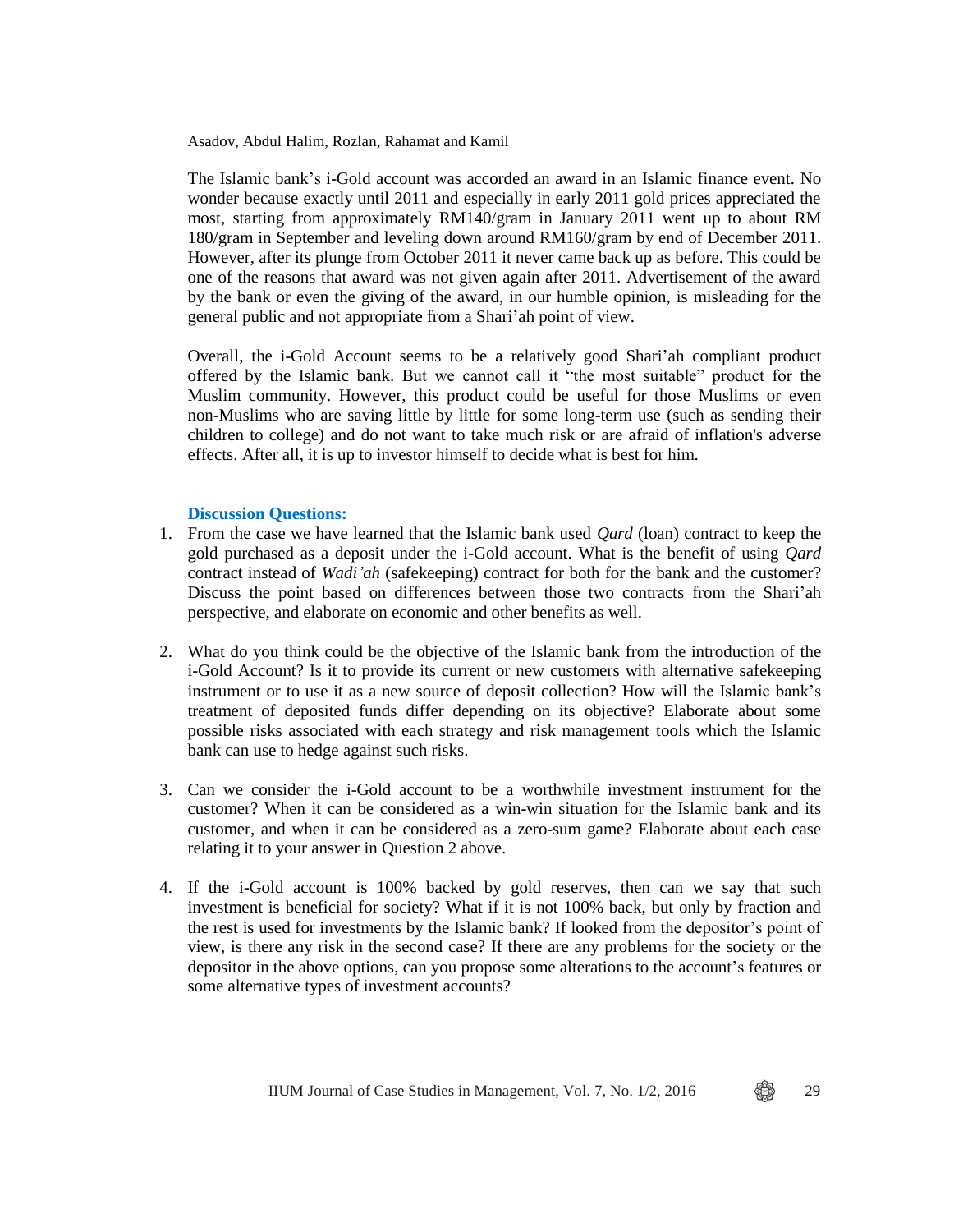The Islamic bank's i-Gold account was accorded an award in an Islamic finance event. No wonder because exactly until 2011 and especially in early 2011 gold prices appreciated the most, starting from approximately RM140/gram in January 2011 went up to about RM 180/gram in September and leveling down around RM160/gram by end of December 2011. However, after its plunge from October 2011 it never came back up as before. This could be one of the reasons that award was not given again after 2011. Advertisement of the award by the bank or even the giving of the award, in our humble opinion, is misleading for the general public and not appropriate from a Shari'ah point of view.

Overall, the i-Gold Account seems to be a relatively good Shari'ah compliant product offered by the Islamic bank. But we cannot call it "the most suitable" product for the Muslim community. However, this product could be useful for those Muslims or even non-Muslims who are saving little by little for some long-term use (such as sending their children to college) and do not want to take much risk or are afraid of inflation's adverse effects. After all, it is up to investor himself to decide what is best for him.

# **Discussion Questions:**

- 1. From the case we have learned that the Islamic bank used *Qard* (loan) contract to keep the gold purchased as a deposit under the i-Gold account. What is the benefit of using *Qard* contract instead of *Wadi'ah* (safekeeping) contract for both for the bank and the customer? Discuss the point based on differences between those two contracts from the Shari'ah perspective, and elaborate on economic and other benefits as well.
- 2. What do you think could be the objective of the Islamic bank from the introduction of the i-Gold Account? Is it to provide its current or new customers with alternative safekeeping instrument or to use it as a new source of deposit collection? How will the Islamic bank's treatment of deposited funds differ depending on its objective? Elaborate about some possible risks associated with each strategy and risk management tools which the Islamic bank can use to hedge against such risks.
- 3. Can we consider the i-Gold account to be a worthwhile investment instrument for the customer? When it can be considered as a win-win situation for the Islamic bank and its customer, and when it can be considered as a zero-sum game? Elaborate about each case relating it to your answer in Question 2 above.
- 4. If the i-Gold account is 100% backed by gold reserves, then can we say that such investment is beneficial for society? What if it is not 100% back, but only by fraction and the rest is used for investments by the Islamic bank? If looked from the depositor's point of view, is there any risk in the second case? If there are any problems for the society or the depositor in the above options, can you propose some alterations to the account's features or some alternative types of investment accounts?